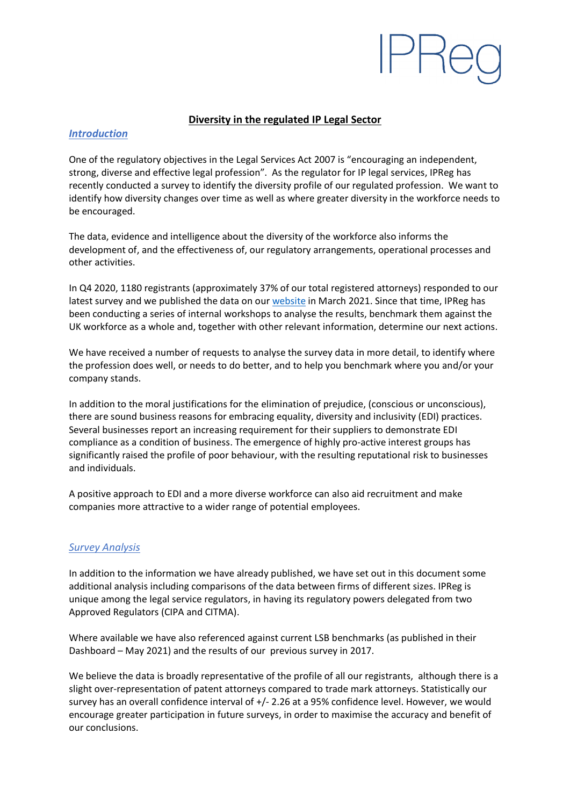## **Diversity in the regulated IP Legal Sector**

## *Introduction*

One of the regulatory objectives in the Legal Services Act 2007 is "encouraging an independent, strong, diverse and effective legal profession". As the regulator for IP legal services, IPReg has recently conducted a survey to identify the diversity profile of our regulated profession. We want to identify how diversity changes over time as well as where greater diversity in the workforce needs to be encouraged.

The data, evidence and intelligence about the diversity of the workforce also informs the development of, and the effectiveness of, our regulatory arrangements, operational processes and other activities.

In Q4 2020, 1180 registrants (approximately 37% of our total registered attorneys) responded to our latest survey and we published the data on ou[r website](https://ipreg.org.uk/report-ipreg-diversity-survey-2021) in March 2021. Since that time, IPReg has been conducting a series of internal workshops to analyse the results, benchmark them against the UK workforce as a whole and, together with other relevant information, determine our next actions.

We have received a number of requests to analyse the survey data in more detail, to identify where the profession does well, or needs to do better, and to help you benchmark where you and/or your company stands.

In addition to the moral justifications for the elimination of prejudice, (conscious or unconscious), there are sound business reasons for embracing equality, diversity and inclusivity (EDI) practices. Several businesses report an increasing requirement for their suppliers to demonstrate EDI compliance as a condition of business. The emergence of highly pro-active interest groups has significantly raised the profile of poor behaviour, with the resulting reputational risk to businesses and individuals.

A positive approach to EDI and a more diverse workforce can also aid recruitment and make companies more attractive to a wider range of potential employees.

## *Survey Analysis*

In addition to the information we have already published, we have set out in this document some additional analysis including comparisons of the data between firms of different sizes. IPReg is unique among the legal service regulators, in having its regulatory powers delegated from two Approved Regulators (CIPA and CITMA).

Where available we have also referenced against current LSB benchmarks (as published in their Dashboard – May 2021) and the results of our previous survey in 2017.

We believe the data is broadly representative of the profile of all our registrants, although there is a slight over-representation of patent attorneys compared to trade mark attorneys. Statistically our survey has an overall confidence interval of +/- 2.26 at a 95% confidence level. However, we would encourage greater participation in future surveys, in order to maximise the accuracy and benefit of our conclusions.